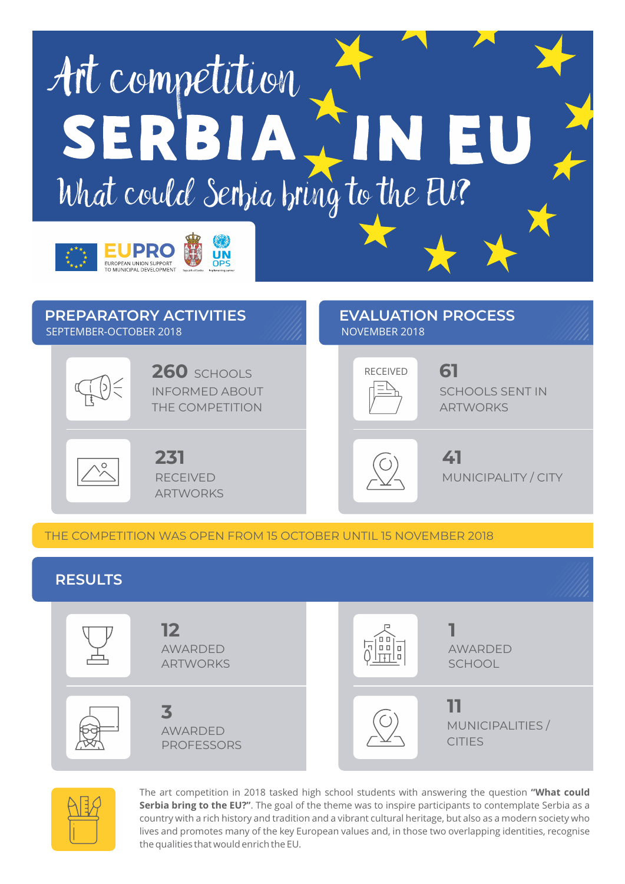



INFORMED ABOUT THE COMPETITION **260** SCHOOLS RECEIVED **61** 



RECEIVED ARTWORKS **231 41** 



SCHOOLS SENT IN **ARTWORKS** 

MUNICIPALITY / CITY

THE COMPETITION WAS OPEN FROM 15 OCTOBER UNTIL 15 NOVEMBER 2018

## **RESULTS**





The art competition in 2018 tasked high school students with answering the question **"What could Serbia bring to the EU?"**. The goal of the theme was to inspire participants to contemplate Serbia as a country with a rich history and tradition and a vibrant cultural heritage, but also as a modern society who lives and promotes many of the key European values and, in those two overlapping identities, recognise the qualities that would enrich the EU.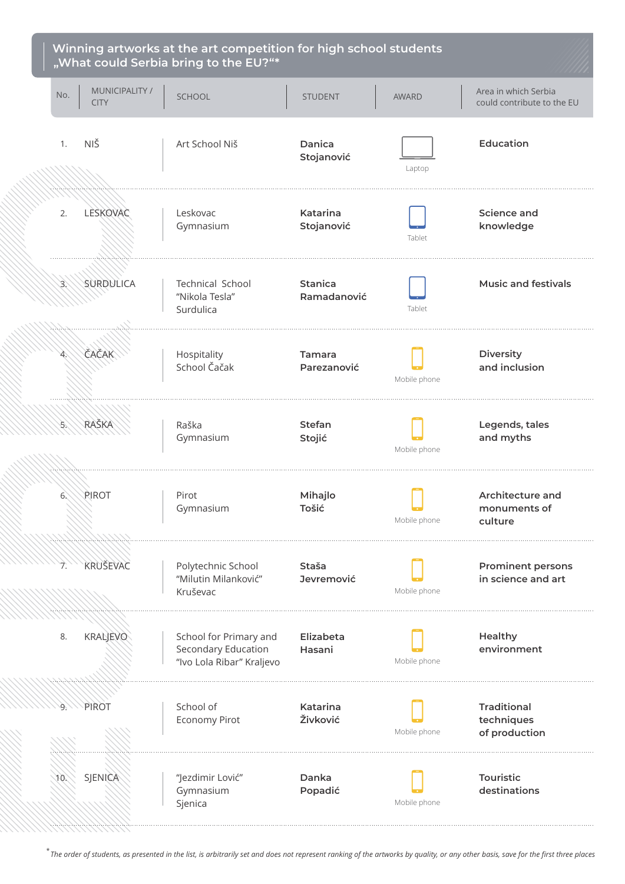

*The order of students, as presented in the list, is arbitrarily set and does not represent ranking of the artworks by quality, or any other basis, save for the first three places* \*